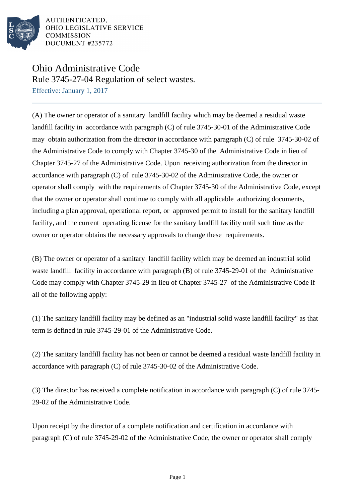

AUTHENTICATED. OHIO LEGISLATIVE SERVICE **COMMISSION** DOCUMENT #235772

## Ohio Administrative Code

Rule 3745-27-04 Regulation of select wastes.

Effective: January 1, 2017

(A) The owner or operator of a sanitary landfill facility which may be deemed a residual waste landfill facility in accordance with paragraph (C) of rule 3745-30-01 of the Administrative Code may obtain authorization from the director in accordance with paragraph (C) of rule 3745-30-02 of the Administrative Code to comply with Chapter 3745-30 of the Administrative Code in lieu of Chapter 3745-27 of the Administrative Code. Upon receiving authorization from the director in accordance with paragraph (C) of rule 3745-30-02 of the Administrative Code, the owner or operator shall comply with the requirements of Chapter 3745-30 of the Administrative Code, except that the owner or operator shall continue to comply with all applicable authorizing documents, including a plan approval, operational report, or approved permit to install for the sanitary landfill facility, and the current operating license for the sanitary landfill facility until such time as the owner or operator obtains the necessary approvals to change these requirements.

(B) The owner or operator of a sanitary landfill facility which may be deemed an industrial solid waste landfill facility in accordance with paragraph (B) of rule 3745-29-01 of the Administrative Code may comply with Chapter 3745-29 in lieu of Chapter 3745-27 of the Administrative Code if all of the following apply:

(1) The sanitary landfill facility may be defined as an "industrial solid waste landfill facility" as that term is defined in rule 3745-29-01 of the Administrative Code.

(2) The sanitary landfill facility has not been or cannot be deemed a residual waste landfill facility in accordance with paragraph  $(C)$  of rule 3745-30-02 of the Administrative Code.

(3) The director has received a complete notification in accordance with paragraph (C) of rule  $3745$ -29-02 of the Administrative Code.

Upon receipt by the director of a complete notification and certification in accordance with paragraph  $(C)$  of rule 3745-29-02 of the Administrative Code, the owner or operator shall comply